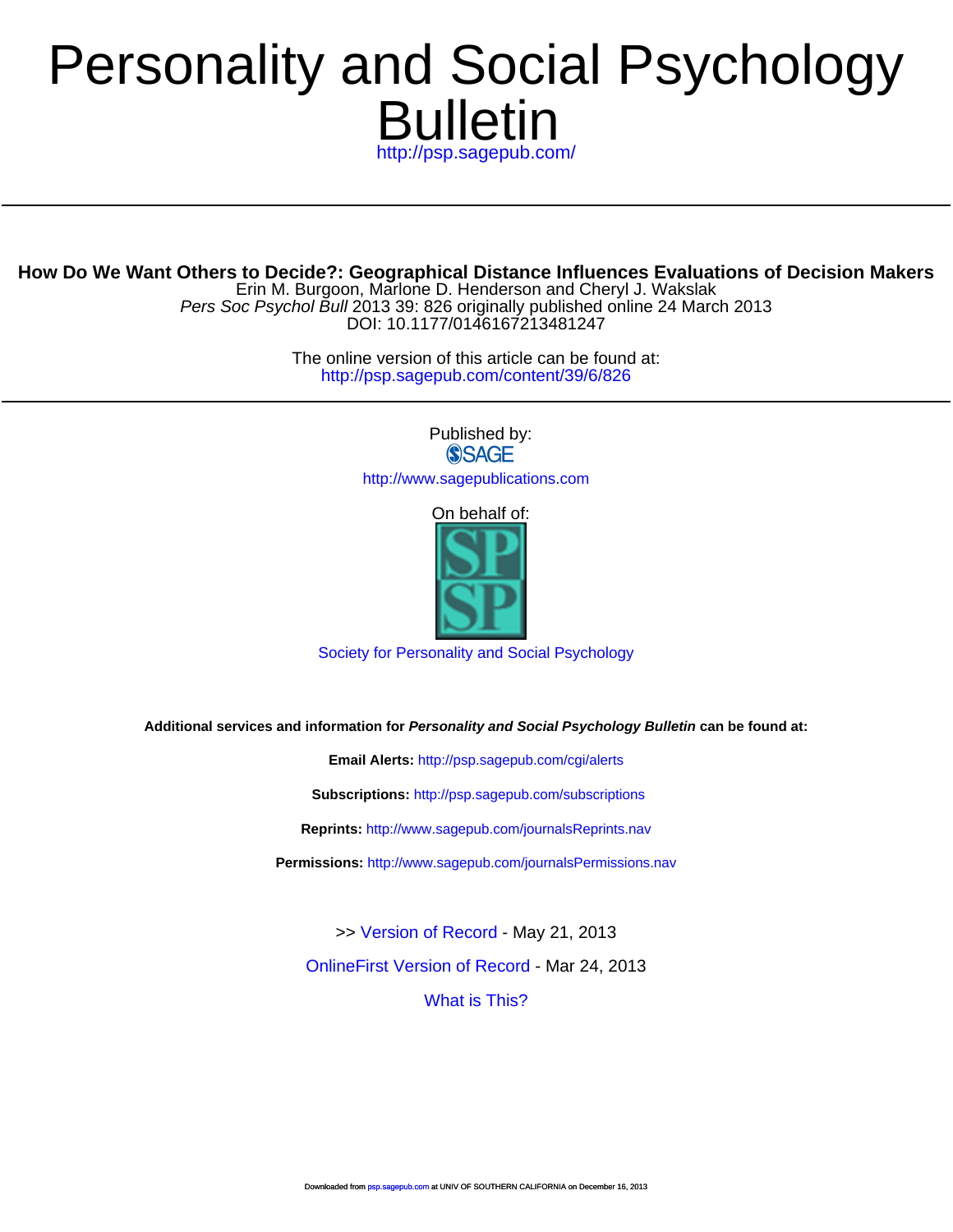# Bulletin Personalit[y and Social P](http://www.spsp.org/)sychology

<http://psp.sagepub.com/>

Erin M. Burgoon, Marlone D. Henderson and Cheryl J. Wakslak **How Do We Want Others to Decide?: Geogra[phical Distance Influence](http://psp.sagepub.com/cgi/alerts)s Evaluations of Decision Makers**

DOI: 10.1177/0146167213481247 Pers Soc Psychol Bull 2013 39: 826 originally published online 24 March 2013

> <http://psp.sagepub.com/content/39/6/826> The online vers[ion of this article can be found a](http://psp.sagepub.com/subscriptions)t:

> > Published by:<br>
> > SAGE <http://www.sagepublications.com>

> > > On behalf of:



[Society for Personality and Social Psychology](http://www.spsp.org/)

**Additional services and information for Personality and Social Psychology Bulletin can be found at:**

**Email Alerts:** <http://psp.sagepub.com/cgi/alerts>

**Subscriptions:** <http://psp.sagepub.com/subscriptions>

**Reprints:** <http://www.sagepub.com/journalsReprints.nav>

**Permissions:** <http://www.sagepub.com/journalsPermissions.nav>

>> [Version of Record -](http://psp.sagepub.com/content/39/6/826.full.pdf) May 21, 2013

[OnlineFirst Version of Record -](http://psp.sagepub.com/content/early/2013/03/24/0146167213481247.full.pdf) Mar 24, 2013

[What is This?](http://online.sagepub.com/site/sphelp/vorhelp.xhtml)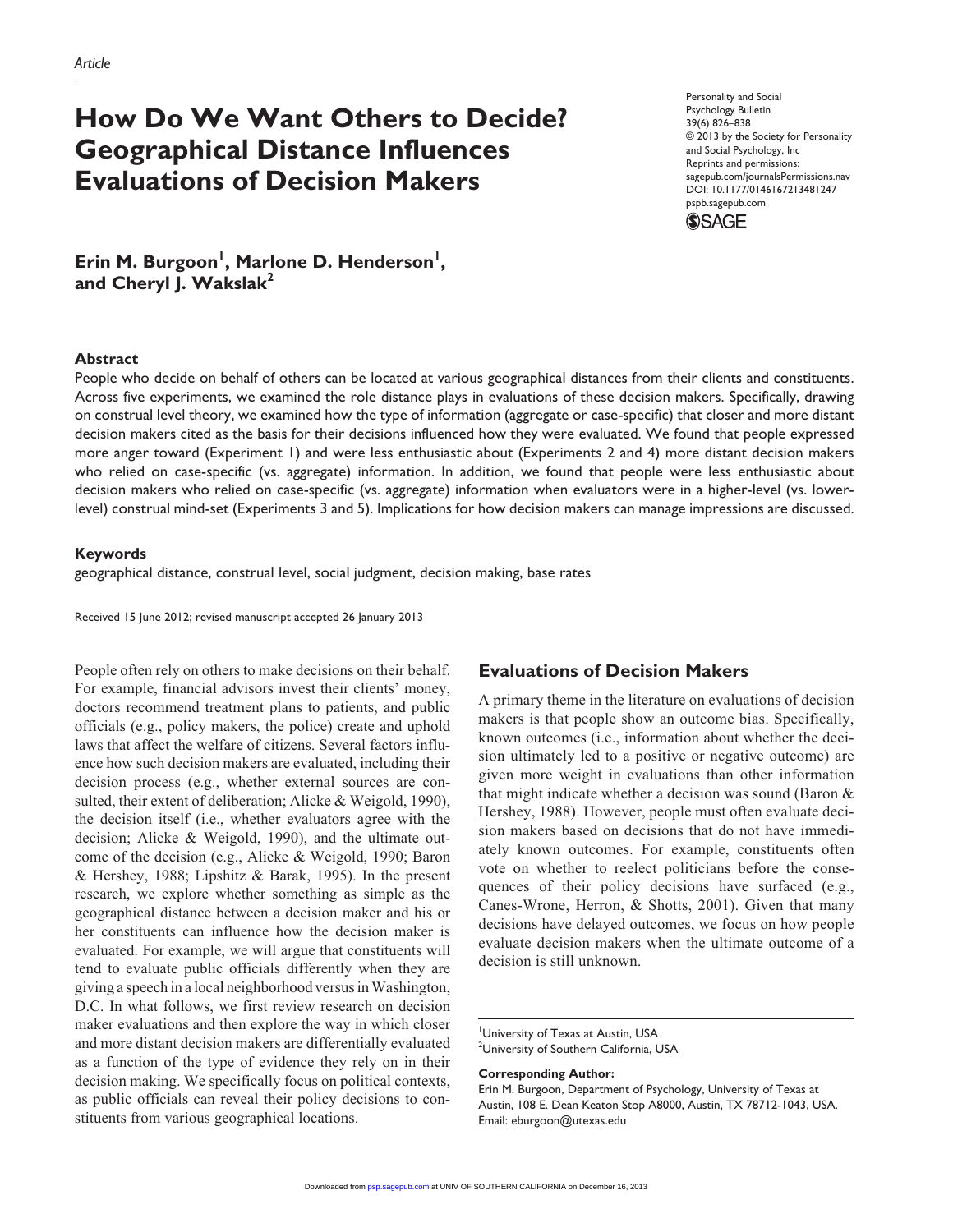# **How Do We Want Others to Decide? Geographical Distance Influences Evaluations of Decision Makers**

Personality and Social Psychology Bulletin 39(6) 826–838 © 2013 by the Society for Personality and Social Psychology, Inc Reprints and permissions: sagepub.com/journalsPermissions.nav DOI: 10.1177/0146167213481247 pspb.sagepub.com



Erin M. Burgoon<sup>1</sup>, Marlone D. Henderson<sup>1</sup>, and Cheryl J. Wakslak<sup>2</sup>

#### **Abstract**

People who decide on behalf of others can be located at various geographical distances from their clients and constituents. Across five experiments, we examined the role distance plays in evaluations of these decision makers. Specifically, drawing on construal level theory, we examined how the type of information (aggregate or case-specific) that closer and more distant decision makers cited as the basis for their decisions influenced how they were evaluated. We found that people expressed more anger toward (Experiment 1) and were less enthusiastic about (Experiments 2 and 4) more distant decision makers who relied on case-specific (vs. aggregate) information. In addition, we found that people were less enthusiastic about decision makers who relied on case-specific (vs. aggregate) information when evaluators were in a higher-level (vs. lowerlevel) construal mind-set (Experiments 3 and 5). Implications for how decision makers can manage impressions are discussed.

#### **Keywords**

geographical distance, construal level, social judgment, decision making, base rates

Received 15 June 2012; revised manuscript accepted 26 January 2013

People often rely on others to make decisions on their behalf. For example, financial advisors invest their clients' money, doctors recommend treatment plans to patients, and public officials (e.g., policy makers, the police) create and uphold laws that affect the welfare of citizens. Several factors influence how such decision makers are evaluated, including their decision process (e.g., whether external sources are consulted, their extent of deliberation; Alicke & Weigold, 1990), the decision itself (i.e., whether evaluators agree with the decision; Alicke & Weigold, 1990), and the ultimate outcome of the decision (e.g., Alicke & Weigold, 1990; Baron & Hershey, 1988; Lipshitz & Barak, 1995). In the present research, we explore whether something as simple as the geographical distance between a decision maker and his or her constituents can influence how the decision maker is evaluated. For example, we will argue that constituents will tend to evaluate public officials differently when they are giving a speech in a local neighborhood versus in Washington, D.C. In what follows, we first review research on decision maker evaluations and then explore the way in which closer and more distant decision makers are differentially evaluated as a function of the type of evidence they rely on in their decision making. We specifically focus on political contexts, as public officials can reveal their policy decisions to constituents from various geographical locations.

# **Evaluations of Decision Makers**

A primary theme in the literature on evaluations of decision makers is that people show an outcome bias. Specifically, known outcomes (i.e., information about whether the decision ultimately led to a positive or negative outcome) are given more weight in evaluations than other information that might indicate whether a decision was sound (Baron & Hershey, 1988). However, people must often evaluate decision makers based on decisions that do not have immediately known outcomes. For example, constituents often vote on whether to reelect politicians before the consequences of their policy decisions have surfaced (e.g., Canes-Wrone, Herron, & Shotts, 2001). Given that many decisions have delayed outcomes, we focus on how people evaluate decision makers when the ultimate outcome of a decision is still unknown.

#### **Corresponding Author:**

University of Texas at Austin, USA <sup>2</sup>University of Southern California, USA

Erin M. Burgoon, Department of Psychology, University of Texas at Austin, 108 E. Dean Keaton Stop A8000, Austin, TX 78712-1043, USA. Email: eburgoon@utexas.edu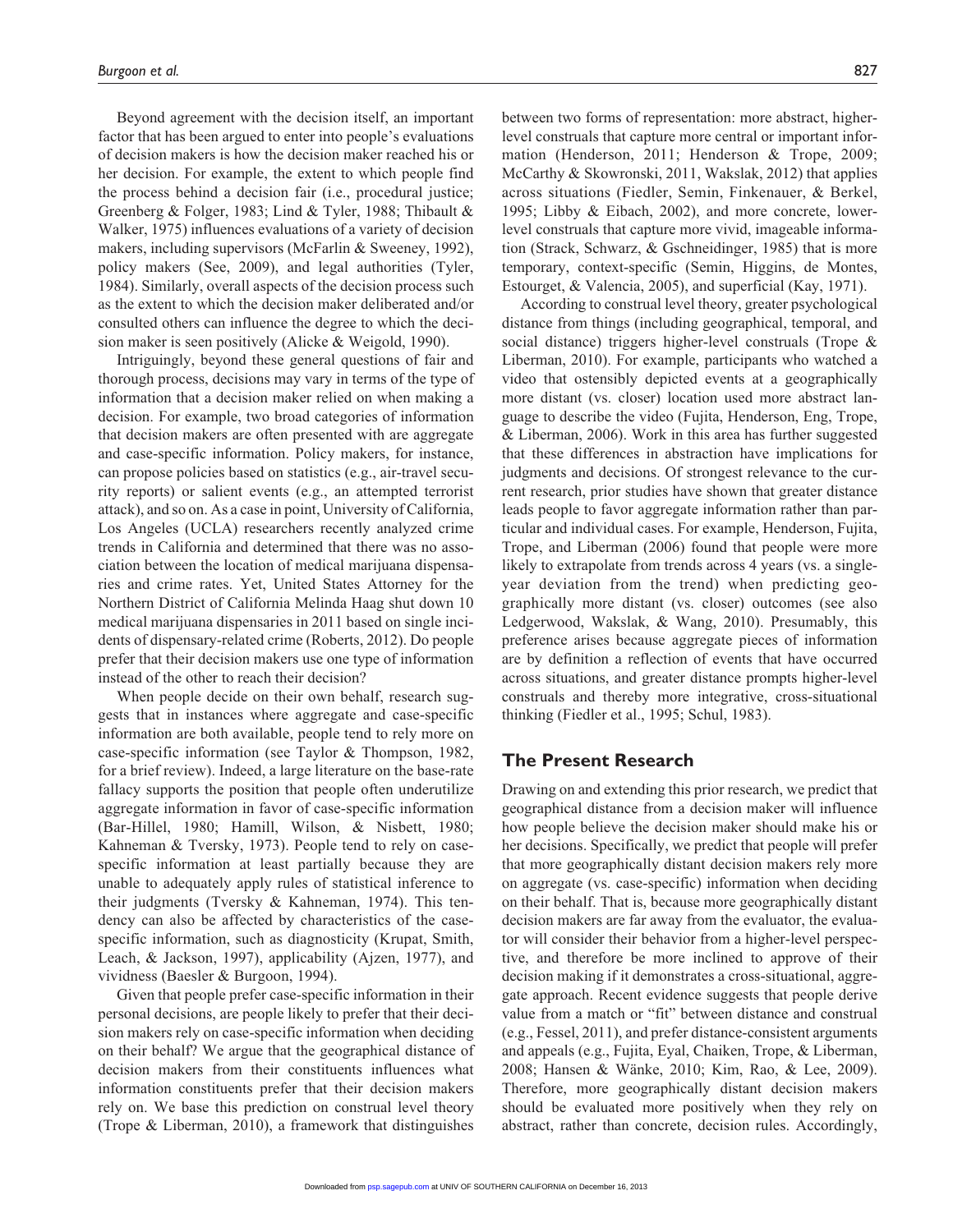Beyond agreement with the decision itself, an important factor that has been argued to enter into people's evaluations of decision makers is how the decision maker reached his or her decision. For example, the extent to which people find the process behind a decision fair (i.e., procedural justice; Greenberg & Folger, 1983; Lind & Tyler, 1988; Thibault & Walker, 1975) influences evaluations of a variety of decision makers, including supervisors (McFarlin & Sweeney, 1992), policy makers (See, 2009), and legal authorities (Tyler, 1984). Similarly, overall aspects of the decision process such as the extent to which the decision maker deliberated and/or consulted others can influence the degree to which the decision maker is seen positively (Alicke & Weigold, 1990).

Intriguingly, beyond these general questions of fair and thorough process, decisions may vary in terms of the type of information that a decision maker relied on when making a decision. For example, two broad categories of information that decision makers are often presented with are aggregate and case-specific information. Policy makers, for instance, can propose policies based on statistics (e.g., air-travel security reports) or salient events (e.g., an attempted terrorist attack), and so on. As a case in point, University of California, Los Angeles (UCLA) researchers recently analyzed crime trends in California and determined that there was no association between the location of medical marijuana dispensaries and crime rates. Yet, United States Attorney for the Northern District of California Melinda Haag shut down 10 medical marijuana dispensaries in 2011 based on single incidents of dispensary-related crime (Roberts, 2012). Do people prefer that their decision makers use one type of information instead of the other to reach their decision?

When people decide on their own behalf, research suggests that in instances where aggregate and case-specific information are both available, people tend to rely more on case-specific information (see Taylor & Thompson, 1982, for a brief review). Indeed, a large literature on the base-rate fallacy supports the position that people often underutilize aggregate information in favor of case-specific information (Bar-Hillel, 1980; Hamill, Wilson, & Nisbett, 1980; Kahneman & Tversky, 1973). People tend to rely on casespecific information at least partially because they are unable to adequately apply rules of statistical inference to their judgments (Tversky & Kahneman, 1974). This tendency can also be affected by characteristics of the casespecific information, such as diagnosticity (Krupat, Smith, Leach, & Jackson, 1997), applicability (Ajzen, 1977), and vividness (Baesler & Burgoon, 1994).

Given that people prefer case-specific information in their personal decisions, are people likely to prefer that their decision makers rely on case-specific information when deciding on their behalf? We argue that the geographical distance of decision makers from their constituents influences what information constituents prefer that their decision makers rely on. We base this prediction on construal level theory (Trope & Liberman, 2010), a framework that distinguishes

between two forms of representation: more abstract, higherlevel construals that capture more central or important information (Henderson, 2011; Henderson & Trope, 2009; McCarthy & Skowronski, 2011, Wakslak, 2012) that applies across situations (Fiedler, Semin, Finkenauer, & Berkel, 1995; Libby & Eibach, 2002), and more concrete, lowerlevel construals that capture more vivid, imageable information (Strack, Schwarz, & Gschneidinger, 1985) that is more temporary, context-specific (Semin, Higgins, de Montes, Estourget, & Valencia, 2005), and superficial (Kay, 1971).

According to construal level theory, greater psychological distance from things (including geographical, temporal, and social distance) triggers higher-level construals (Trope & Liberman, 2010). For example, participants who watched a video that ostensibly depicted events at a geographically more distant (vs. closer) location used more abstract language to describe the video (Fujita, Henderson, Eng, Trope, & Liberman, 2006). Work in this area has further suggested that these differences in abstraction have implications for judgments and decisions. Of strongest relevance to the current research, prior studies have shown that greater distance leads people to favor aggregate information rather than particular and individual cases. For example, Henderson, Fujita, Trope, and Liberman (2006) found that people were more likely to extrapolate from trends across 4 years (vs. a singleyear deviation from the trend) when predicting geographically more distant (vs. closer) outcomes (see also Ledgerwood, Wakslak, & Wang, 2010). Presumably, this preference arises because aggregate pieces of information are by definition a reflection of events that have occurred across situations, and greater distance prompts higher-level construals and thereby more integrative, cross-situational thinking (Fiedler et al., 1995; Schul, 1983).

# **The Present Research**

Drawing on and extending this prior research, we predict that geographical distance from a decision maker will influence how people believe the decision maker should make his or her decisions. Specifically, we predict that people will prefer that more geographically distant decision makers rely more on aggregate (vs. case-specific) information when deciding on their behalf. That is, because more geographically distant decision makers are far away from the evaluator, the evaluator will consider their behavior from a higher-level perspective, and therefore be more inclined to approve of their decision making if it demonstrates a cross-situational, aggregate approach. Recent evidence suggests that people derive value from a match or "fit" between distance and construal (e.g., Fessel, 2011), and prefer distance-consistent arguments and appeals (e.g., Fujita, Eyal, Chaiken, Trope, & Liberman, 2008; Hansen & Wänke, 2010; Kim, Rao, & Lee, 2009). Therefore, more geographically distant decision makers should be evaluated more positively when they rely on [abstrac](http://psp.sagepub.com/)t, rather than concrete, decision rules. Accordingly,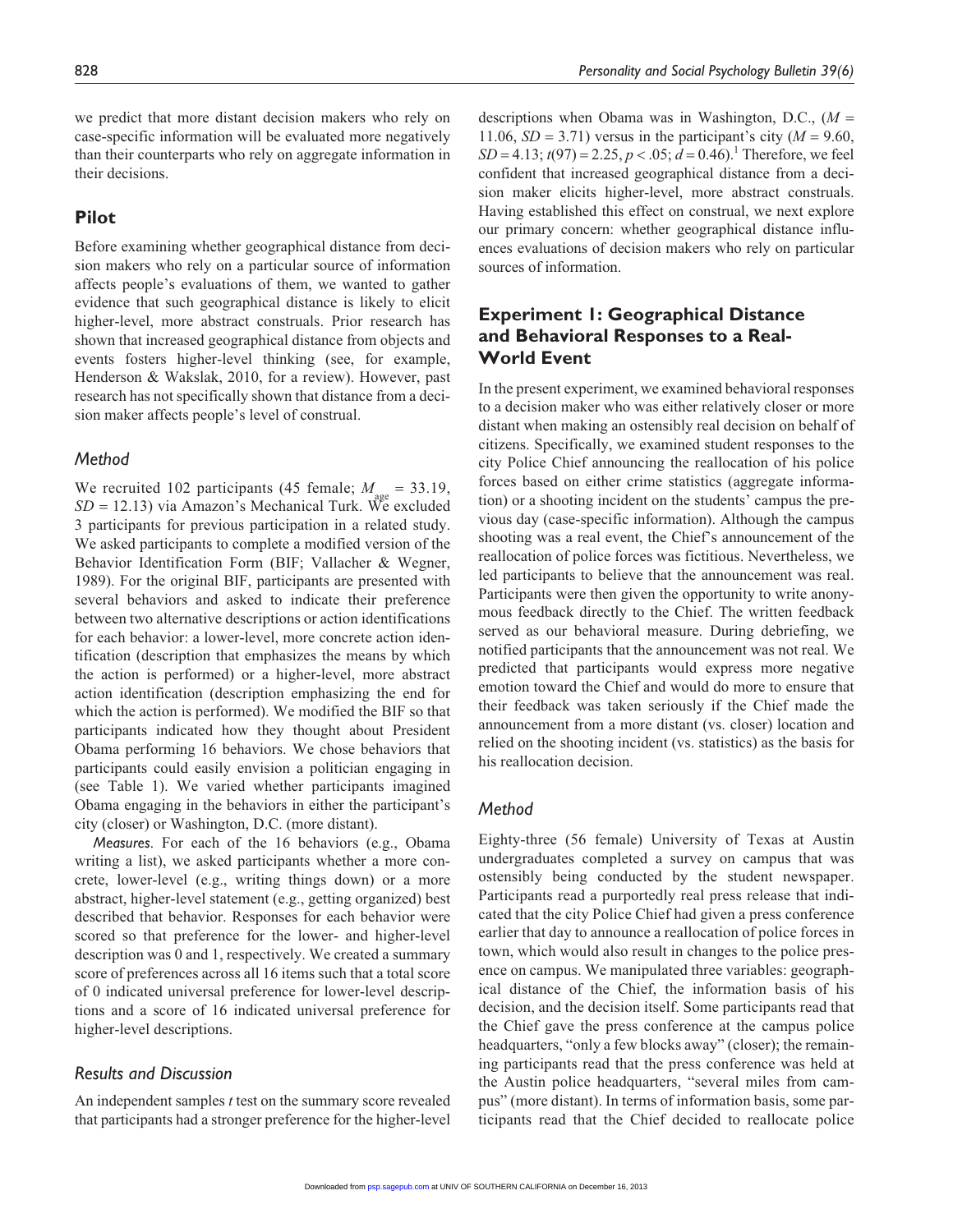we predict that more distant decision makers who rely on case-specific information will be evaluated more negatively than their counterparts who rely on aggregate information in their decisions.

# **Pilot**

Before examining whether geographical distance from decision makers who rely on a particular source of information affects people's evaluations of them, we wanted to gather evidence that such geographical distance is likely to elicit higher-level, more abstract construals. Prior research has shown that increased geographical distance from objects and events fosters higher-level thinking (see, for example, Henderson & Wakslak, 2010, for a review). However, past research has not specifically shown that distance from a decision maker affects people's level of construal.

#### *Method*

We recruited 102 participants (45 female;  $M_{\text{gas}} = 33.19$ ,  $SD = 12.13$ ) via Amazon's Mechanical Turk. We excluded 3 participants for previous participation in a related study. We asked participants to complete a modified version of the Behavior Identification Form (BIF; Vallacher & Wegner, 1989). For the original BIF, participants are presented with several behaviors and asked to indicate their preference between two alternative descriptions or action identifications for each behavior: a lower-level, more concrete action identification (description that emphasizes the means by which the action is performed) or a higher-level, more abstract action identification (description emphasizing the end for which the action is performed). We modified the BIF so that participants indicated how they thought about President Obama performing 16 behaviors. We chose behaviors that participants could easily envision a politician engaging in (see Table 1). We varied whether participants imagined Obama engaging in the behaviors in either the participant's city (closer) or Washington, D.C. (more distant).

*Measures*. For each of the 16 behaviors (e.g., Obama writing a list), we asked participants whether a more concrete, lower-level (e.g., writing things down) or a more abstract, higher-level statement (e.g., getting organized) best described that behavior. Responses for each behavior were scored so that preference for the lower- and higher-level description was 0 and 1, respectively. We created a summary score of preferences across all 16 items such that a total score of 0 indicated universal preference for lower-level descriptions and a score of 16 indicated universal preference for higher-level descriptions.

#### *Results and Discussion*

An independent samples *t* test on the summary score revealed that participants had a stronger preference for the higher-level

descriptions when Obama was in Washington, D.C., (*M* = 11.06,  $SD = 3.71$ ) versus in the participant's city ( $M = 9.60$ ,  $SD = 4.13$ ;  $t(97) = 2.25$ ,  $p < .05$ ;  $d = 0.46$ ).<sup>1</sup> Therefore, we feel confident that increased geographical distance from a decision maker elicits higher-level, more abstract construals. Having established this effect on construal, we next explore our primary concern: whether geographical distance influences evaluations of decision makers who rely on particular sources of information.

# **Experiment 1: Geographical Distance and Behavioral Responses to a Real-World Event**

In the present experiment, we examined behavioral responses to a decision maker who was either relatively closer or more distant when making an ostensibly real decision on behalf of citizens. Specifically, we examined student responses to the city Police Chief announcing the reallocation of his police forces based on either crime statistics (aggregate information) or a shooting incident on the students' campus the previous day (case-specific information). Although the campus shooting was a real event, the Chief's announcement of the reallocation of police forces was fictitious. Nevertheless, we led participants to believe that the announcement was real. Participants were then given the opportunity to write anonymous feedback directly to the Chief. The written feedback served as our behavioral measure. During debriefing, we notified participants that the announcement was not real. We predicted that participants would express more negative emotion toward the Chief and would do more to ensure that their feedback was taken seriously if the Chief made the announcement from a more distant (vs. closer) location and relied on the shooting incident (vs. statistics) as the basis for his reallocation decision.

#### *Method*

Eighty-three (56 female) University of Texas at Austin undergraduates completed a survey on campus that was ostensibly being conducted by the student newspaper. Participants read a purportedly real press release that indicated that the city Police Chief had given a press conference earlier that day to announce a reallocation of police forces in town, which would also result in changes to the police presence on campus. We manipulated three variables: geographical distance of the Chief, the information basis of his decision, and the decision itself. Some participants read that the Chief gave the press conference at the campus police headquarters, "only a few blocks away" (closer); the remaining participants read that the press conference was held at the Austin police headquarters, "several miles from campus" (more distant). In terms of information basis, some participants read that the Chief decided to reallocate police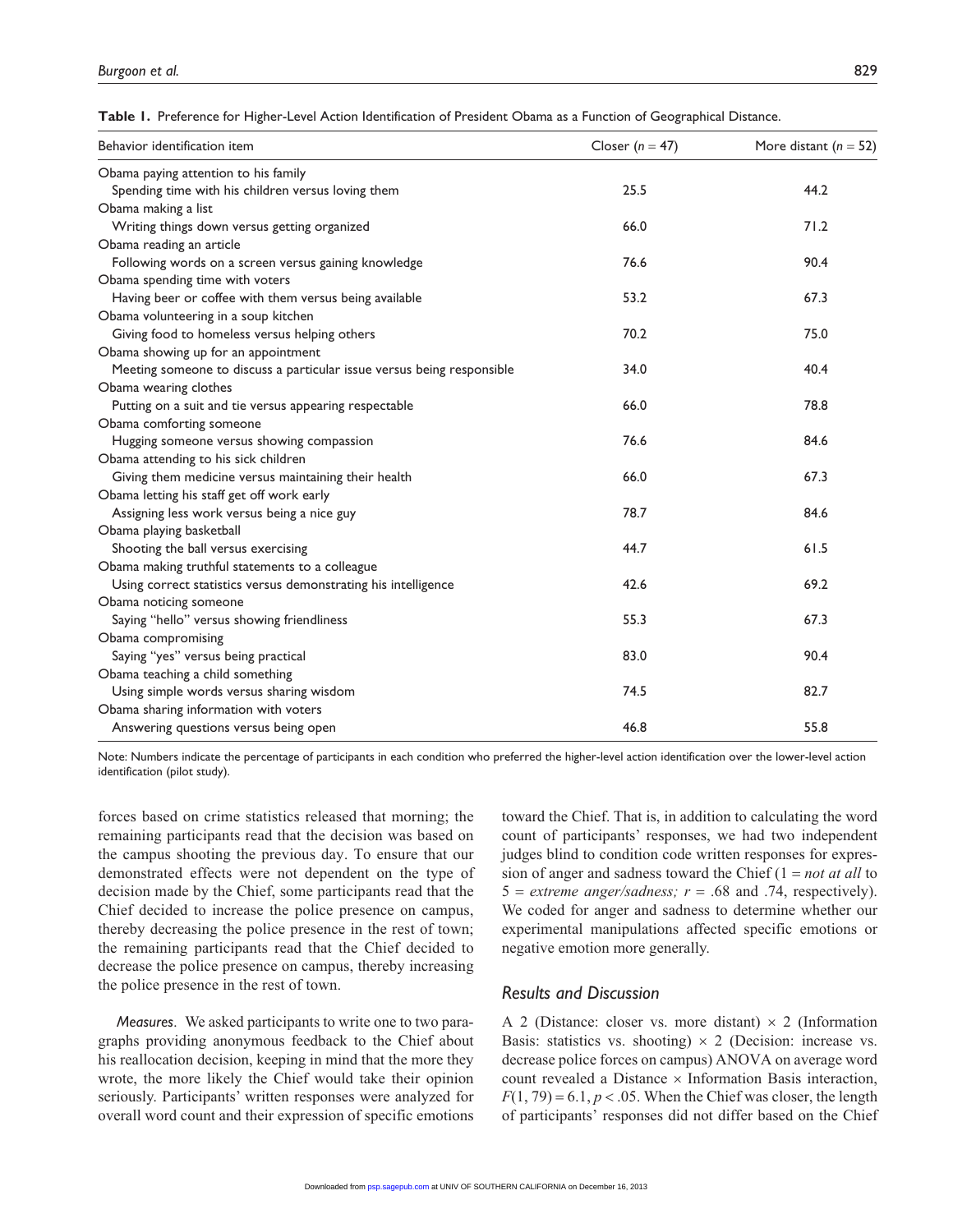**Table 1.** Preference for Higher-Level Action Identification of President Obama as a Function of Geographical Distance.

| Behavior identification item                                           | Closer ( $n = 47$ ) | More distant ( $n = 52$ ) |
|------------------------------------------------------------------------|---------------------|---------------------------|
| Obama paying attention to his family                                   |                     |                           |
| Spending time with his children versus loving them                     | 25.5                | 44.2                      |
| Obama making a list                                                    |                     |                           |
| Writing things down versus getting organized                           | 66.0                | 71.2                      |
| Obama reading an article                                               |                     |                           |
| Following words on a screen versus gaining knowledge                   | 76.6                | 90.4                      |
| Obama spending time with voters                                        |                     |                           |
| Having beer or coffee with them versus being available                 | 53.2                | 67.3                      |
| Obama volunteering in a soup kitchen                                   |                     |                           |
| Giving food to homeless versus helping others                          | 70.2                | 75.0                      |
| Obama showing up for an appointment                                    |                     |                           |
| Meeting someone to discuss a particular issue versus being responsible | 34.0                | 40.4                      |
| Obama wearing clothes                                                  |                     |                           |
| Putting on a suit and tie versus appearing respectable                 | 66.0                | 78.8                      |
| Obama comforting someone                                               |                     |                           |
| Hugging someone versus showing compassion                              | 76.6                | 84.6                      |
| Obama attending to his sick children                                   |                     |                           |
| Giving them medicine versus maintaining their health                   | 66.0                | 67.3                      |
| Obama letting his staff get off work early                             |                     |                           |
| Assigning less work versus being a nice guy                            | 78.7                | 84.6                      |
| Obama playing basketball                                               |                     |                           |
| Shooting the ball versus exercising                                    | 44.7                | 61.5                      |
| Obama making truthful statements to a colleague                        |                     |                           |
| Using correct statistics versus demonstrating his intelligence         | 42.6                | 69.2                      |
| Obama noticing someone                                                 |                     |                           |
| Saying "hello" versus showing friendliness                             | 55.3                | 67.3                      |
| Obama compromising                                                     |                     |                           |
| Saying "yes" versus being practical                                    | 83.0                | 90.4                      |
| Obama teaching a child something                                       |                     |                           |
| Using simple words versus sharing wisdom                               | 74.5                | 82.7                      |
| Obama sharing information with voters                                  |                     |                           |
| Answering questions versus being open                                  | 46.8                | 55.8                      |

Note: Numbers indicate the percentage of participants in each condition who preferred the higher-level action identification over the lower-level action identification (pilot study).

forces based on crime statistics released that morning; the remaining participants read that the decision was based on the campus shooting the previous day. To ensure that our demonstrated effects were not dependent on the type of decision made by the Chief, some participants read that the Chief decided to increase the police presence on campus, thereby decreasing the police presence in the rest of town; the remaining participants read that the Chief decided to decrease the police presence on campus, thereby increasing the police presence in the rest of town.

*Measures*. We asked participants to write one to two paragraphs providing anonymous feedback to the Chief about his reallocation decision, keeping in mind that the more they wrote, the more likely the Chief would take their opinion seriously. Participants' written responses were analyzed for overall word count and their expression of specific emotions toward the Chief. That is, in addition to calculating the word count of participants' responses, we had two independent judges blind to condition code written responses for expression of anger and sadness toward the Chief (1 = *not at all* to  $5 =$  *extreme anger/sadness; r* = .68 and .74, respectively). We coded for anger and sadness to determine whether our experimental manipulations affected specific emotions or negative emotion more generally.

#### *Results and Discussion*

A 2 (Distance: closer vs. more distant)  $\times$  2 (Information Basis: statistics vs. shooting)  $\times$  2 (Decision: increase vs. decrease police forces on campus) ANOVA on average word count revealed a Distance  $\times$  Information Basis interaction,  $F(1, 79) = 6.1, p < .05$ . When the Chief was closer, the length of participants' responses did not differ based on the Chief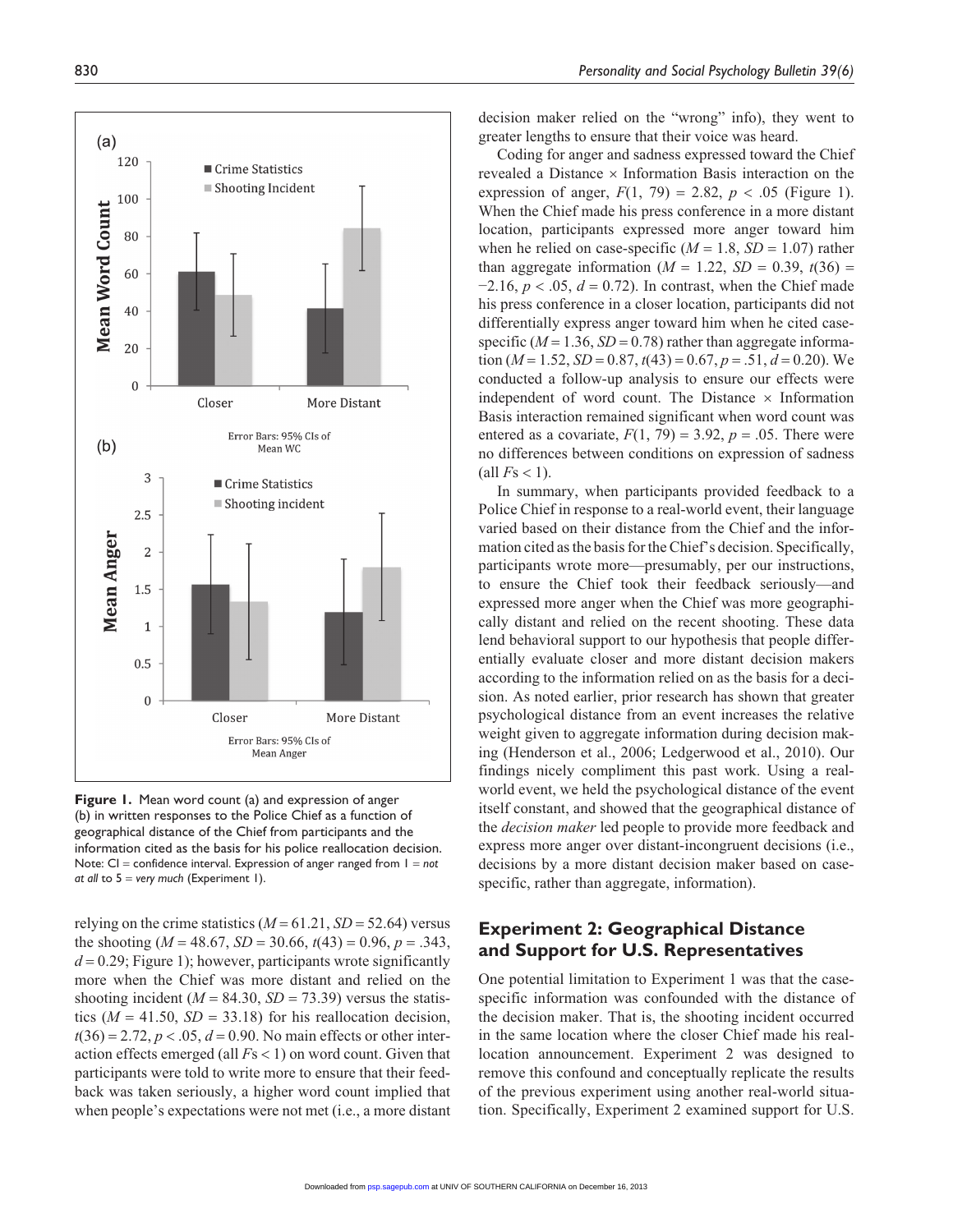

**Figure 1.** Mean word count (a) and expression of anger (b) in written responses to the Police Chief as a function of geographical distance of the Chief from participants and the information cited as the basis for his police reallocation decision. Note: CI = confidence interval. Expression of anger ranged from 1 = *not at all* to 5 = *very much* (Experiment 1).

relying on the crime statistics  $(M = 61.21, SD = 52.64)$  versus the shooting ( $M = 48.67$ ,  $SD = 30.66$ ,  $t(43) = 0.96$ ,  $p = .343$ ,  $d = 0.29$ ; Figure 1); however, participants wrote significantly more when the Chief was more distant and relied on the shooting incident ( $M = 84.30$ ,  $SD = 73.39$ ) versus the statistics ( $M = 41.50$ ,  $SD = 33.18$ ) for his reallocation decision,  $t(36) = 2.72, p < .05, d = 0.90$ . No main effects or other interaction effects emerged (all *F*s < 1) on word count. Given that participants were told to write more to ensure that their feedback was taken seriously, a higher word count implied that when people's expectations were not met (i.e., a more distant

decision maker relied on the "wrong" info), they went to greater lengths to ensure that their voice was heard.

Coding for anger and sadness expressed toward the Chief revealed a Distance × Information Basis interaction on the expression of anger,  $F(1, 79) = 2.82$ ,  $p < .05$  (Figure 1). When the Chief made his press conference in a more distant location, participants expressed more anger toward him when he relied on case-specific  $(M = 1.8, SD = 1.07)$  rather than aggregate information  $(M = 1.22, SD = 0.39, t(36) =$ −2.16, *p* < .05, *d* = 0.72). In contrast, when the Chief made his press conference in a closer location, participants did not differentially express anger toward him when he cited casespecific ( $M = 1.36$ ,  $SD = 0.78$ ) rather than aggregate information ( $M = 1.52$ ,  $SD = 0.87$ ,  $t(43) = 0.67$ ,  $p = .51$ ,  $d = 0.20$ ). We conducted a follow-up analysis to ensure our effects were independent of word count. The Distance  $\times$  Information Basis interaction remained significant when word count was entered as a covariate,  $F(1, 79) = 3.92$ ,  $p = .05$ . There were no differences between conditions on expression of sadness  $\text{(all } F\text{s} < 1).$ 

In summary, when participants provided feedback to a Police Chief in response to a real-world event, their language varied based on their distance from the Chief and the information cited as the basis for the Chief's decision. Specifically, participants wrote more—presumably, per our instructions, to ensure the Chief took their feedback seriously—and expressed more anger when the Chief was more geographically distant and relied on the recent shooting. These data lend behavioral support to our hypothesis that people differentially evaluate closer and more distant decision makers according to the information relied on as the basis for a decision. As noted earlier, prior research has shown that greater psychological distance from an event increases the relative weight given to aggregate information during decision making (Henderson et al., 2006; Ledgerwood et al., 2010). Our findings nicely compliment this past work. Using a realworld event, we held the psychological distance of the event itself constant, and showed that the geographical distance of the *decision maker* led people to provide more feedback and express more anger over distant-incongruent decisions (i.e., decisions by a more distant decision maker based on casespecific, rather than aggregate, information).

# **Experiment 2: Geographical Distance and Support for U.S. Representatives**

One potential limitation to Experiment 1 was that the casespecific information was confounded with the distance of the decision maker. That is, the shooting incident occurred in the same location where the closer Chief made his reallocation announcement. Experiment 2 was designed to remove this confound and conceptually replicate the results of the previous experiment using another real-world situation. Specifically, Experiment 2 examined support for U.S.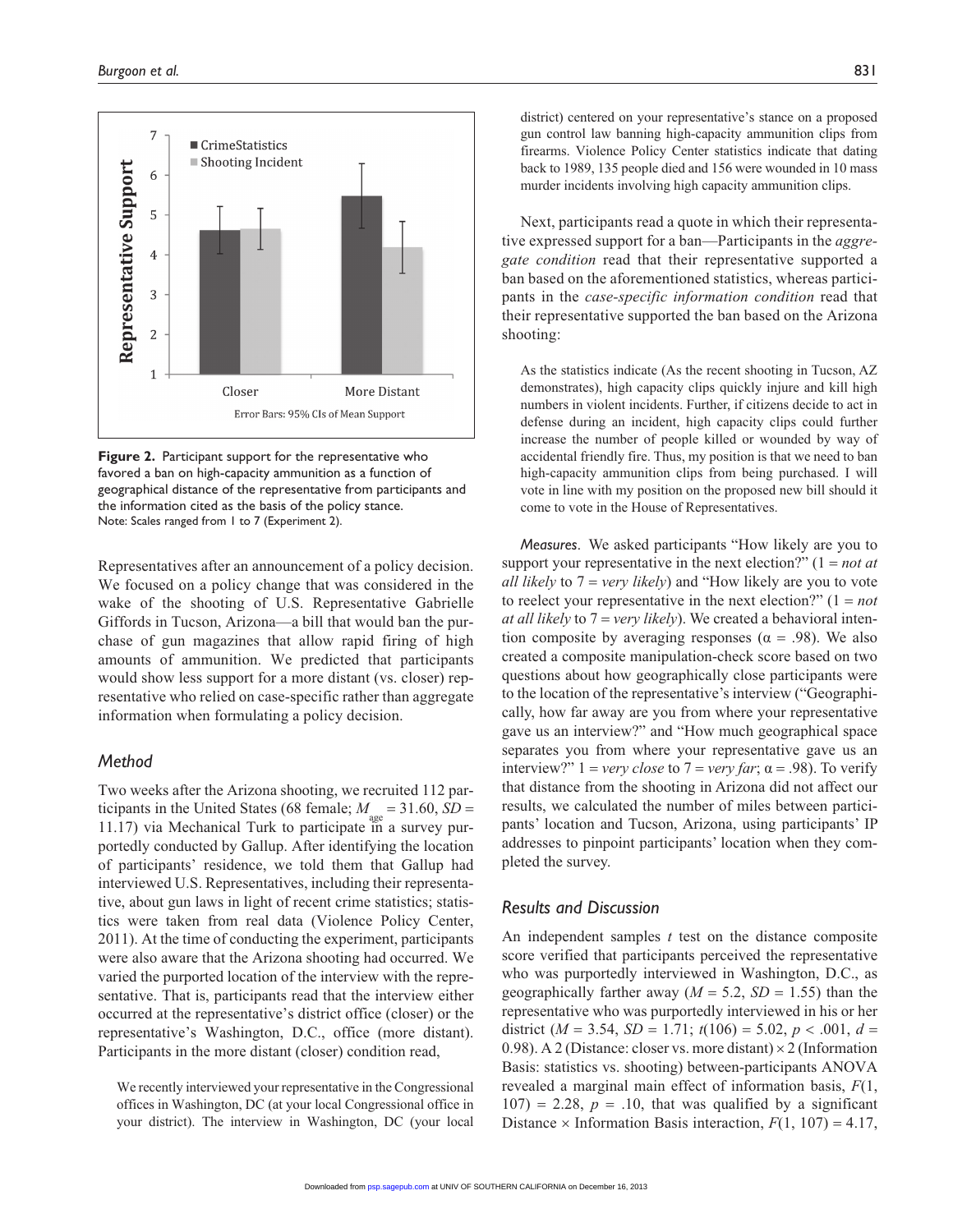

**Figure 2.** Participant support for the representative who favored a ban on high-capacity ammunition as a function of geographical distance of the representative from participants and the information cited as the basis of the policy stance. Note: Scales ranged from 1 to 7 (Experiment 2).

Representatives after an announcement of a policy decision. We focused on a policy change that was considered in the wake of the shooting of U.S. Representative Gabrielle Giffords in Tucson, Arizona—a bill that would ban the purchase of gun magazines that allow rapid firing of high amounts of ammunition. We predicted that participants would show less support for a more distant (vs. closer) representative who relied on case-specific rather than aggregate information when formulating a policy decision.

# *Method*

Two weeks after the Arizona shooting, we recruited 112 participants in the United States (68 female;  $M_{gas} = 31.60$ ,  $SD =$ 11.17) via Mechanical Turk to participate in a survey purportedly conducted by Gallup. After identifying the location of participants' residence, we told them that Gallup had interviewed U.S. Representatives, including their representative, about gun laws in light of recent crime statistics; statistics were taken from real data (Violence Policy Center, 2011). At the time of conducting the experiment, participants were also aware that the Arizona shooting had occurred. We varied the purported location of the interview with the representative. That is, participants read that the interview either occurred at the representative's district office (closer) or the representative's Washington, D.C., office (more distant). Participants in the more distant (closer) condition read,

We recently interviewed your representative in the Congressional offices in Washington, DC (at your local Congressional office in your district). The interview in Washington, DC (your local

district) centered on your representative's stance on a proposed gun control law banning high-capacity ammunition clips from firearms. Violence Policy Center statistics indicate that dating back to 1989, 135 people died and 156 were wounded in 10 mass murder incidents involving high capacity ammunition clips.

Next, participants read a quote in which their representative expressed support for a ban—Participants in the *aggregate condition* read that their representative supported a ban based on the aforementioned statistics, whereas participants in the *case-specific information condition* read that their representative supported the ban based on the Arizona shooting:

As the statistics indicate (As the recent shooting in Tucson, AZ demonstrates), high capacity clips quickly injure and kill high numbers in violent incidents. Further, if citizens decide to act in defense during an incident, high capacity clips could further increase the number of people killed or wounded by way of accidental friendly fire. Thus, my position is that we need to ban high-capacity ammunition clips from being purchased. I will vote in line with my position on the proposed new bill should it come to vote in the House of Representatives.

*Measures*. We asked participants "How likely are you to support your representative in the next election?" (1 = *not at all likely* to 7 = *very likely*) and "How likely are you to vote to reelect your representative in the next election?" (1 = *not at all likely* to 7 = *very likely*). We created a behavioral intention composite by averaging responses ( $\alpha = .98$ ). We also created a composite manipulation-check score based on two questions about how geographically close participants were to the location of the representative's interview ("Geographically, how far away are you from where your representative gave us an interview?" and "How much geographical space separates you from where your representative gave us an interview?"  $1 = \text{very close to } 7 = \text{very far}; \alpha = .98$ ). To verify that distance from the shooting in Arizona did not affect our results, we calculated the number of miles between participants' location and Tucson, Arizona, using participants' IP addresses to pinpoint participants' location when they completed the survey.

# *Results and Discussion*

An independent samples *t* test on the distance composite score verified that participants perceived the representative who was purportedly interviewed in Washington, D.C., as geographically farther away ( $M = 5.2$ ,  $SD = 1.55$ ) than the representative who was purportedly interviewed in his or her district ( $M = 3.54$ ,  $SD = 1.71$ ;  $t(106) = 5.02$ ,  $p < .001$ ,  $d =$ 0.98). A 2 (Distance: closer vs. more distant)  $\times$  2 (Information Basis: statistics vs. shooting) between-participants ANOVA revealed a marginal main effect of information basis, *F*(1,  $107$ ) = 2.28,  $p = .10$ , that was qualified by a significant Distance  $\times$  Information Basis interaction,  $F(1, 107) = 4.17$ ,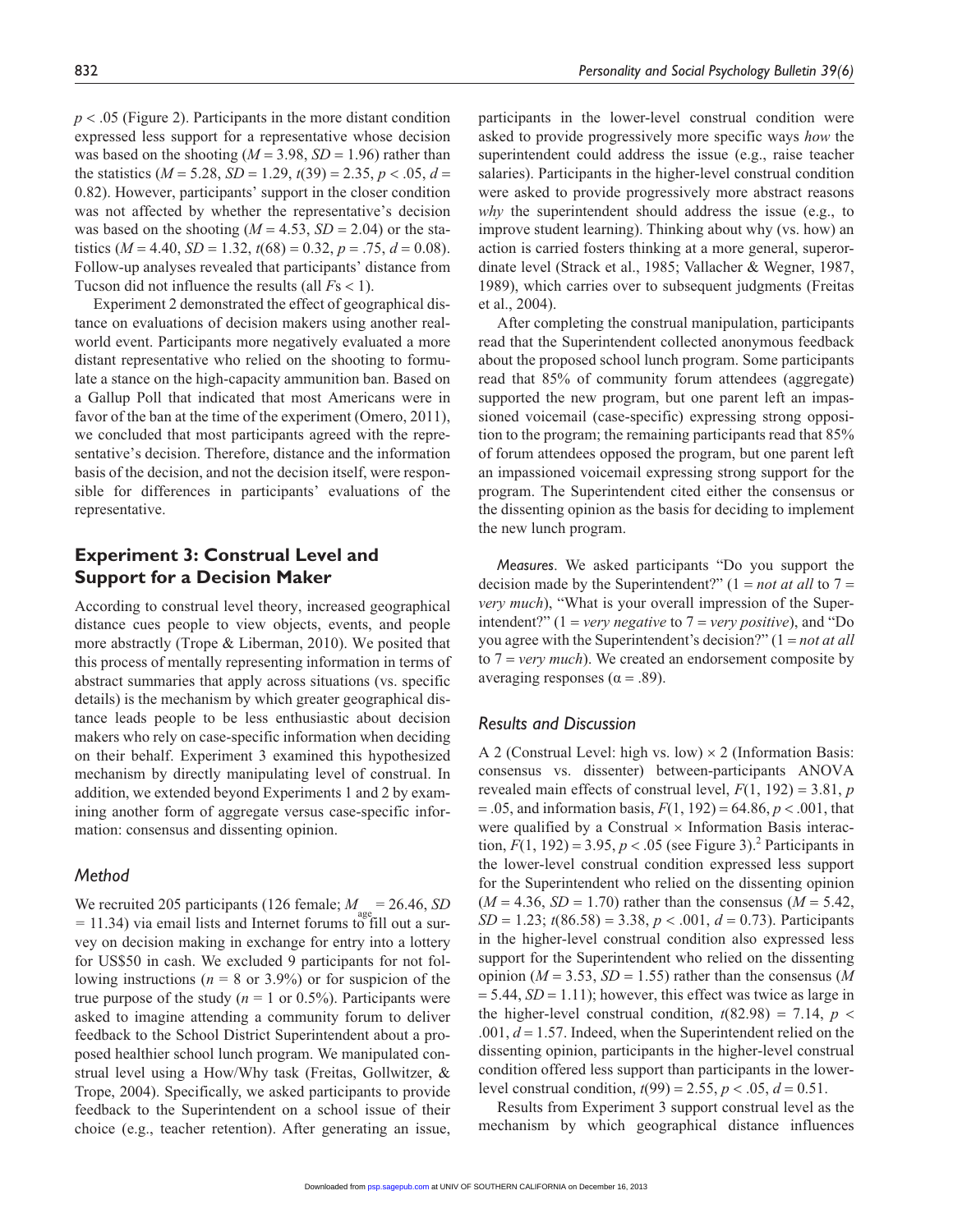*p* < .05 (Figure 2). Participants in the more distant condition expressed less support for a representative whose decision was based on the shooting  $(M = 3.98, SD = 1.96)$  rather than the statistics ( $M = 5.28$ ,  $SD = 1.29$ ,  $t(39) = 2.35$ ,  $p < .05$ ,  $d =$ 0.82). However, participants' support in the closer condition was not affected by whether the representative's decision was based on the shooting  $(M = 4.53, SD = 2.04)$  or the statistics ( $M = 4.40$ ,  $SD = 1.32$ ,  $t(68) = 0.32$ ,  $p = .75$ ,  $d = 0.08$ ). Follow-up analyses revealed that participants' distance from Tucson did not influence the results (all *F*s < 1).

Experiment 2 demonstrated the effect of geographical distance on evaluations of decision makers using another realworld event. Participants more negatively evaluated a more distant representative who relied on the shooting to formulate a stance on the high-capacity ammunition ban. Based on a Gallup Poll that indicated that most Americans were in favor of the ban at the time of the experiment (Omero, 2011), we concluded that most participants agreed with the representative's decision. Therefore, distance and the information basis of the decision, and not the decision itself, were responsible for differences in participants' evaluations of the representative.

# **Experiment 3: Construal Level and Support for a Decision Maker**

According to construal level theory, increased geographical distance cues people to view objects, events, and people more abstractly (Trope & Liberman, 2010). We posited that this process of mentally representing information in terms of abstract summaries that apply across situations (vs. specific details) is the mechanism by which greater geographical distance leads people to be less enthusiastic about decision makers who rely on case-specific information when deciding on their behalf. Experiment 3 examined this hypothesized mechanism by directly manipulating level of construal. In addition, we extended beyond Experiments 1 and 2 by examining another form of aggregate versus case-specific information: consensus and dissenting opinion.

#### *Method*

We recruited 205 participants (126 female;  $M_{\text{gas}} = 26.46$ , *SD =* 11.34) via email lists and Internet forums to fill out a survey on decision making in exchange for entry into a lottery for US\$50 in cash. We excluded 9 participants for not following instructions ( $n = 8$  or 3.9%) or for suspicion of the true purpose of the study ( $n = 1$  or 0.5%). Participants were asked to imagine attending a community forum to deliver feedback to the School District Superintendent about a proposed healthier school lunch program. We manipulated construal level using a How/Why task (Freitas, Gollwitzer, & Trope, 2004). Specifically, we asked participants to provide feedback to the Superintendent on a school issue of their choice (e.g., teacher retention). After generating an issue,

participants in the lower-level construal condition were asked to provide progressively more specific ways *how* the superintendent could address the issue (e.g., raise teacher salaries). Participants in the higher-level construal condition were asked to provide progressively more abstract reasons *why* the superintendent should address the issue (e.g., to improve student learning). Thinking about why (vs. how) an action is carried fosters thinking at a more general, superordinate level (Strack et al., 1985; Vallacher & Wegner, 1987, 1989), which carries over to subsequent judgments (Freitas et al., 2004).

After completing the construal manipulation, participants read that the Superintendent collected anonymous feedback about the proposed school lunch program. Some participants read that 85% of community forum attendees (aggregate) supported the new program, but one parent left an impassioned voicemail (case-specific) expressing strong opposition to the program; the remaining participants read that 85% of forum attendees opposed the program, but one parent left an impassioned voicemail expressing strong support for the program. The Superintendent cited either the consensus or the dissenting opinion as the basis for deciding to implement the new lunch program.

*Measures*. We asked participants "Do you support the decision made by the Superintendent?"  $(1 = not at all to 7 =$ *very much*), "What is your overall impression of the Superintendent?" (1 = *very negative* to 7 = *very positive*), and "Do you agree with the Superintendent's decision?" (1 = *not at all* to 7 = *very much*). We created an endorsement composite by averaging responses ( $α = .89$ ).

#### *Results and Discussion*

A 2 (Construal Level: high vs. low)  $\times$  2 (Information Basis: consensus vs. dissenter) between-participants ANOVA revealed main effects of construal level,  $F(1, 192) = 3.81$ , *p* = .05, and information basis, *F*(1, 192) = 64.86, *p* < .001, that were qualified by a Construal  $\times$  Information Basis interaction,  $F(1, 192) = 3.95$ ,  $p < .05$  (see Figure 3).<sup>2</sup> Participants in the lower-level construal condition expressed less support for the Superintendent who relied on the dissenting opinion  $(M = 4.36, SD = 1.70)$  rather than the consensus  $(M = 5.42,$  $SD = 1.23$ ;  $t(86.58) = 3.38$ ,  $p < .001$ ,  $d = 0.73$ ). Participants in the higher-level construal condition also expressed less support for the Superintendent who relied on the dissenting opinion ( $M = 3.53$ ,  $SD = 1.55$ ) rather than the consensus ( $M$  $= 5.44$ ,  $SD = 1.11$ ; however, this effect was twice as large in the higher-level construal condition,  $t(82.98) = 7.14$ ,  $p <$  $.001, d = 1.57$ . Indeed, when the Superintendent relied on the dissenting opinion, participants in the higher-level construal condition offered less support than participants in the lowerlevel construal condition,  $t(99) = 2.55$ ,  $p < .05$ ,  $d = 0.51$ .

Results from Experiment 3 support construal level as the [mechanism](http://psp.sagepub.com/) by which geographical distance influences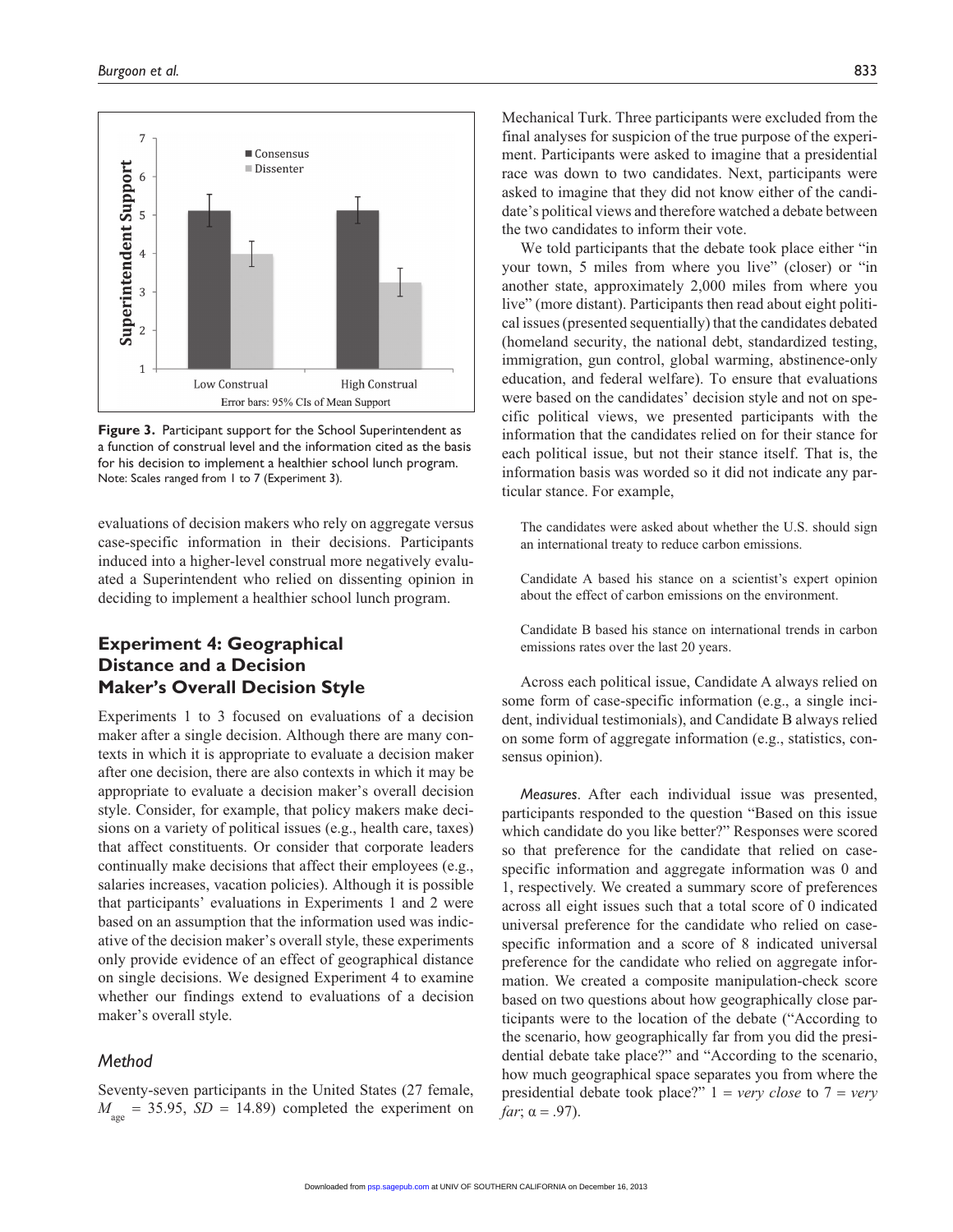

**Figure 3.** Participant support for the School Superintendent as a function of construal level and the information cited as the basis for his decision to implement a healthier school lunch program. Note: Scales ranged from 1 to 7 (Experiment 3).

evaluations of decision makers who rely on aggregate versus case-specific information in their decisions. Participants induced into a higher-level construal more negatively evaluated a Superintendent who relied on dissenting opinion in deciding to implement a healthier school lunch program.

# **Experiment 4: Geographical Distance and a Decision Maker's Overall Decision Style**

Experiments 1 to 3 focused on evaluations of a decision maker after a single decision. Although there are many contexts in which it is appropriate to evaluate a decision maker after one decision, there are also contexts in which it may be appropriate to evaluate a decision maker's overall decision style. Consider, for example, that policy makers make decisions on a variety of political issues (e.g., health care, taxes) that affect constituents. Or consider that corporate leaders continually make decisions that affect their employees (e.g., salaries increases, vacation policies). Although it is possible that participants' evaluations in Experiments 1 and 2 were based on an assumption that the information used was indicative of the decision maker's overall style, these experiments only provide evidence of an effect of geographical distance on single decisions. We designed Experiment 4 to examine whether our findings extend to evaluations of a decision maker's overall style.

# *Method*

Seventy-seven participants in the United States (27 female,  $M_{\text{gas}}$  = 35.95, *SD* = 14.89) completed the experiment on

Mechanical Turk. Three participants were excluded from the final analyses for suspicion of the true purpose of the experiment. Participants were asked to imagine that a presidential race was down to two candidates. Next, participants were asked to imagine that they did not know either of the candidate's political views and therefore watched a debate between the two candidates to inform their vote.

We told participants that the debate took place either "in your town, 5 miles from where you live" (closer) or "in another state, approximately 2,000 miles from where you live" (more distant). Participants then read about eight political issues (presented sequentially) that the candidates debated (homeland security, the national debt, standardized testing, immigration, gun control, global warming, abstinence-only education, and federal welfare). To ensure that evaluations were based on the candidates' decision style and not on specific political views, we presented participants with the information that the candidates relied on for their stance for each political issue, but not their stance itself. That is, the information basis was worded so it did not indicate any particular stance. For example,

The candidates were asked about whether the U.S. should sign an international treaty to reduce carbon emissions.

Candidate A based his stance on a scientist's expert opinion about the effect of carbon emissions on the environment.

Candidate B based his stance on international trends in carbon emissions rates over the last 20 years.

Across each political issue, Candidate A always relied on some form of case-specific information (e.g., a single incident, individual testimonials), and Candidate B always relied on some form of aggregate information (e.g., statistics, consensus opinion).

*Measures*. After each individual issue was presented, participants responded to the question "Based on this issue which candidate do you like better?" Responses were scored so that preference for the candidate that relied on casespecific information and aggregate information was 0 and 1, respectively. We created a summary score of preferences across all eight issues such that a total score of 0 indicated universal preference for the candidate who relied on casespecific information and a score of 8 indicated universal preference for the candidate who relied on aggregate information. We created a composite manipulation-check score based on two questions about how geographically close participants were to the location of the debate ("According to the scenario, how geographically far from you did the presidential debate take place?" and "According to the scenario, how much geographical space separates you from where the presidential debate took place?" 1 = *very close* to 7 = *very far*;  $\alpha = .97$ ).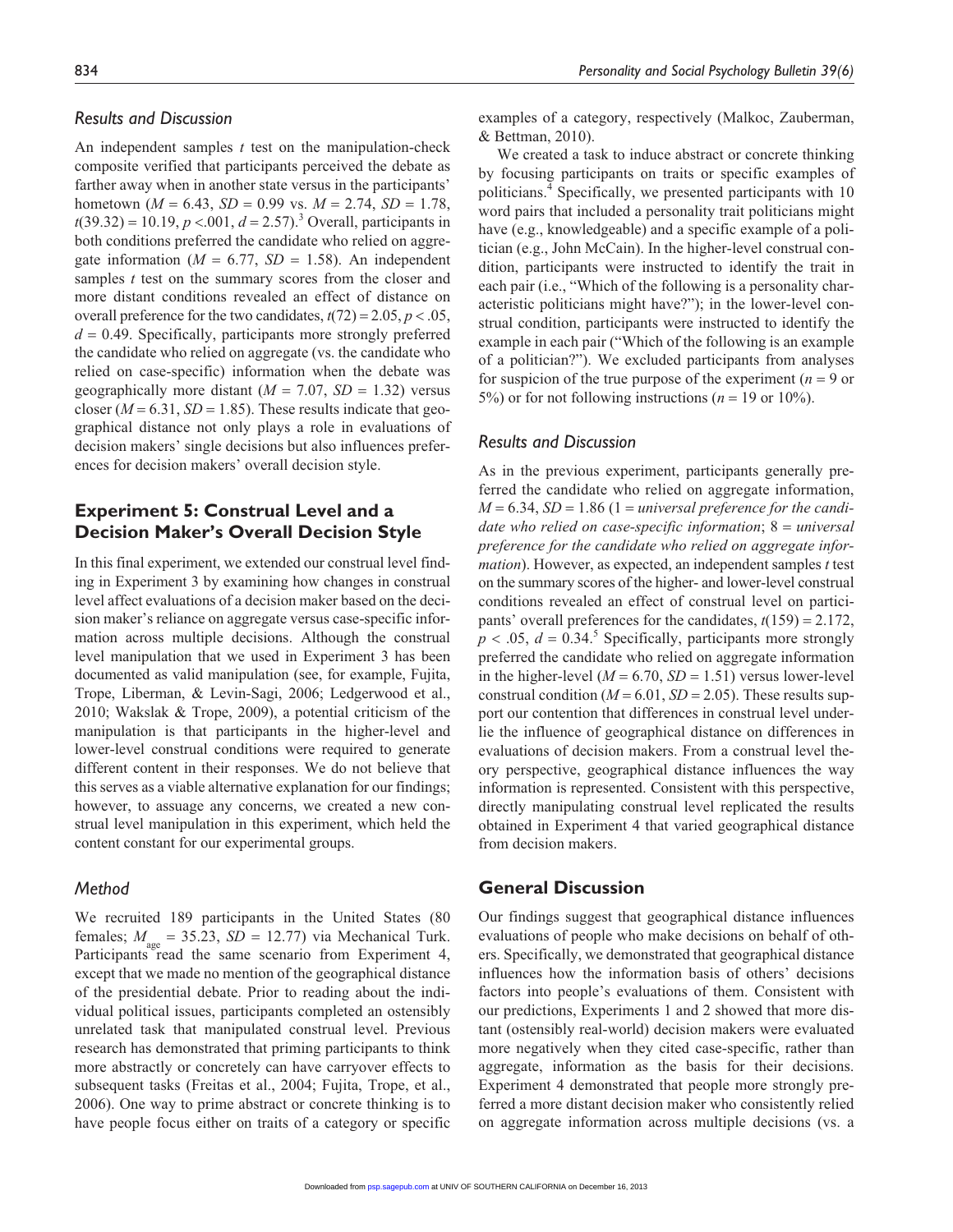#### *Results and Discussion*

An independent samples *t* test on the manipulation-check composite verified that participants perceived the debate as farther away when in another state versus in the participants' hometown ( $M = 6.43$ ,  $SD = 0.99$  vs.  $M = 2.74$ ,  $SD = 1.78$ ,  $t(39.32) = 10.19, p < .001, d = 2.57$ ).<sup>3</sup> Overall, participants in both conditions preferred the candidate who relied on aggregate information ( $M = 6.77$ ,  $SD = 1.58$ ). An independent samples *t* test on the summary scores from the closer and more distant conditions revealed an effect of distance on overall preference for the two candidates,  $t(72) = 2.05$ ,  $p < .05$ ,  $d = 0.49$ . Specifically, participants more strongly preferred the candidate who relied on aggregate (vs. the candidate who relied on case-specific) information when the debate was geographically more distant  $(M = 7.07, SD = 1.32)$  versus closer ( $M = 6.31$ ,  $SD = 1.85$ ). These results indicate that geographical distance not only plays a role in evaluations of decision makers' single decisions but also influences preferences for decision makers' overall decision style.

# **Experiment 5: Construal Level and a Decision Maker's Overall Decision Style**

In this final experiment, we extended our construal level finding in Experiment 3 by examining how changes in construal level affect evaluations of a decision maker based on the decision maker's reliance on aggregate versus case-specific information across multiple decisions. Although the construal level manipulation that we used in Experiment 3 has been documented as valid manipulation (see, for example, Fujita, Trope, Liberman, & Levin-Sagi, 2006; Ledgerwood et al., 2010; Wakslak & Trope, 2009), a potential criticism of the manipulation is that participants in the higher-level and lower-level construal conditions were required to generate different content in their responses. We do not believe that this serves as a viable alternative explanation for our findings; however, to assuage any concerns, we created a new construal level manipulation in this experiment, which held the content constant for our experimental groups.

# *Method*

We recruited 189 participants in the United States (80 females;  $M_{\text{age}} = 35.23$ ,  $SD = 12.77$ ) via Mechanical Turk. Participants read the same scenario from Experiment 4, except that we made no mention of the geographical distance of the presidential debate. Prior to reading about the individual political issues, participants completed an ostensibly unrelated task that manipulated construal level. Previous research has demonstrated that priming participants to think more abstractly or concretely can have carryover effects to subsequent tasks (Freitas et al., 2004; Fujita, Trope, et al., 2006). One way to prime abstract or concrete thinking is to have people focus either on traits of a category or specific examples of a category, respectively (Malkoc, Zauberman, & Bettman, 2010).

We created a task to induce abstract or concrete thinking by focusing participants on traits or specific examples of politicians.<sup>4</sup> Specifically, we presented participants with 10 word pairs that included a personality trait politicians might have (e.g., knowledgeable) and a specific example of a politician (e.g., John McCain). In the higher-level construal condition, participants were instructed to identify the trait in each pair (i.e., "Which of the following is a personality characteristic politicians might have?"); in the lower-level construal condition, participants were instructed to identify the example in each pair ("Which of the following is an example of a politician?"). We excluded participants from analyses for suspicion of the true purpose of the experiment  $(n = 9)$  or 5%) or for not following instructions ( $n = 19$  or 10%).

#### *Results and Discussion*

As in the previous experiment, participants generally preferred the candidate who relied on aggregate information, *M* = 6.34, *SD* = 1.86 (1 = *universal preference for the candidate who relied on case-specific information*; 8 = *universal preference for the candidate who relied on aggregate information*). However, as expected, an independent samples *t* test on the summary scores of the higher- and lower-level construal conditions revealed an effect of construal level on participants' overall preferences for the candidates, *t*(159) = 2.172,  $p < .05$ ,  $d = 0.34$ <sup>5</sup> Specifically, participants more strongly preferred the candidate who relied on aggregate information in the higher-level  $(M = 6.70, SD = 1.51)$  versus lower-level construal condition ( $M = 6.01$ ,  $SD = 2.05$ ). These results support our contention that differences in construal level underlie the influence of geographical distance on differences in evaluations of decision makers. From a construal level theory perspective, geographical distance influences the way information is represented. Consistent with this perspective, directly manipulating construal level replicated the results obtained in Experiment 4 that varied geographical distance from decision makers.

# **General Discussion**

Our findings suggest that geographical distance influences evaluations of people who make decisions on behalf of others. Specifically, we demonstrated that geographical distance influences how the information basis of others' decisions factors into people's evaluations of them. Consistent with our predictions, Experiments 1 and 2 showed that more distant (ostensibly real-world) decision makers were evaluated more negatively when they cited case-specific, rather than aggregate, information as the basis for their decisions. Experiment 4 demonstrated that people more strongly preferred a more distant decision maker who consistently relied on aggregate information across multiple decisions (vs. a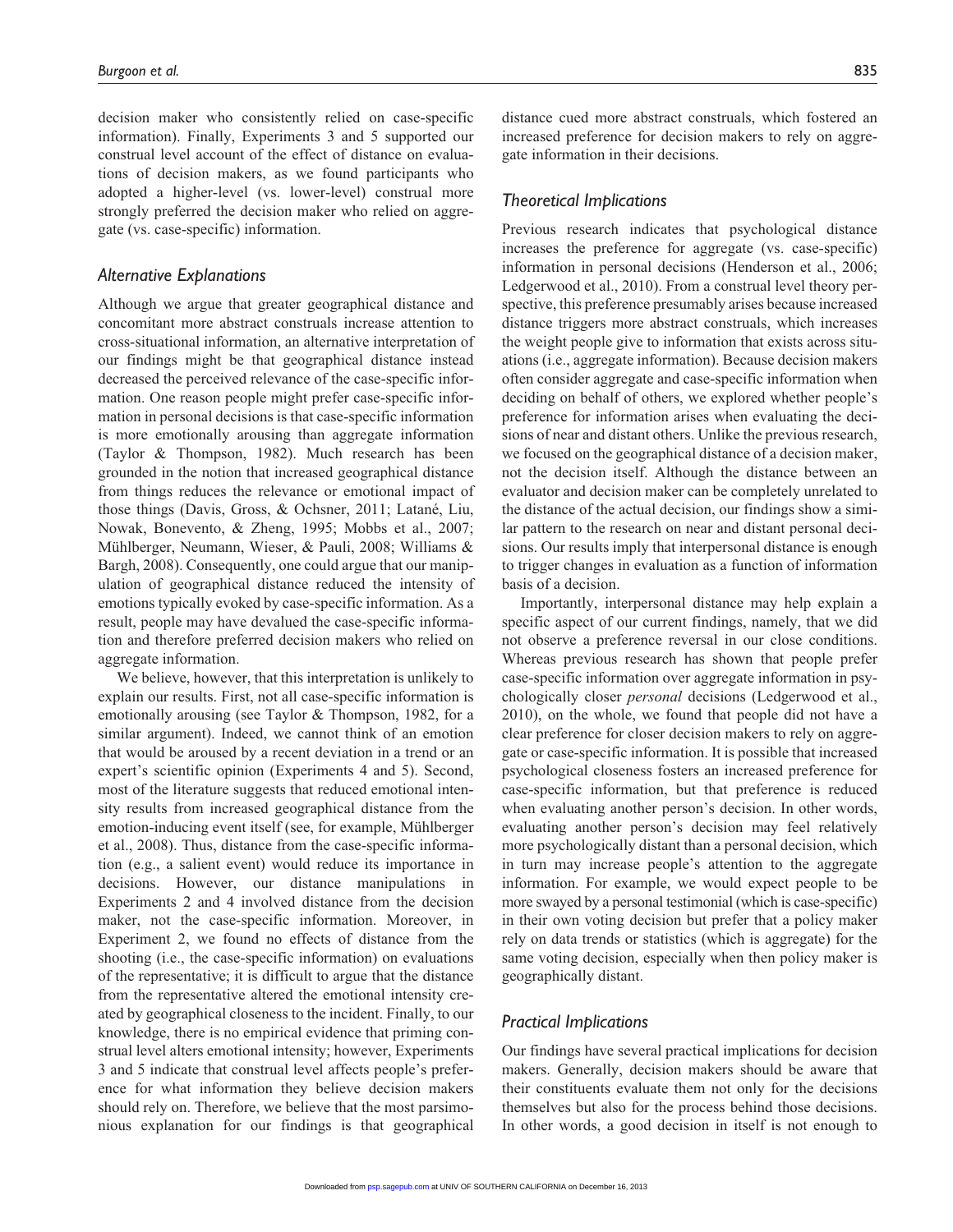decision maker who consistently relied on case-specific information). Finally, Experiments 3 and 5 supported our construal level account of the effect of distance on evaluations of decision makers, as we found participants who adopted a higher-level (vs. lower-level) construal more strongly preferred the decision maker who relied on aggregate (vs. case-specific) information.

#### *Alternative Explanations*

Although we argue that greater geographical distance and concomitant more abstract construals increase attention to cross-situational information, an alternative interpretation of our findings might be that geographical distance instead decreased the perceived relevance of the case-specific information. One reason people might prefer case-specific information in personal decisions is that case-specific information is more emotionally arousing than aggregate information (Taylor & Thompson, 1982). Much research has been grounded in the notion that increased geographical distance from things reduces the relevance or emotional impact of those things (Davis, Gross, & Ochsner, 2011; Latané, Liu, Nowak, Bonevento, & Zheng, 1995; Mobbs et al., 2007; Mühlberger, Neumann, Wieser, & Pauli, 2008; Williams & Bargh, 2008). Consequently, one could argue that our manipulation of geographical distance reduced the intensity of emotions typically evoked by case-specific information. As a result, people may have devalued the case-specific information and therefore preferred decision makers who relied on aggregate information.

We believe, however, that this interpretation is unlikely to explain our results. First, not all case-specific information is emotionally arousing (see Taylor & Thompson, 1982, for a similar argument). Indeed, we cannot think of an emotion that would be aroused by a recent deviation in a trend or an expert's scientific opinion (Experiments 4 and 5). Second, most of the literature suggests that reduced emotional intensity results from increased geographical distance from the emotion-inducing event itself (see, for example, Mühlberger et al., 2008). Thus, distance from the case-specific information (e.g., a salient event) would reduce its importance in decisions. However, our distance manipulations in Experiments 2 and 4 involved distance from the decision maker, not the case-specific information. Moreover, in Experiment 2, we found no effects of distance from the shooting (i.e., the case-specific information) on evaluations of the representative; it is difficult to argue that the distance from the representative altered the emotional intensity created by geographical closeness to the incident. Finally, to our knowledge, there is no empirical evidence that priming construal level alters emotional intensity; however, Experiments 3 and 5 indicate that construal level affects people's preference for what information they believe decision makers should rely on. Therefore, we believe that the most parsimonious explanation for our findings is that geographical

distance cued more abstract construals, which fostered an increased preference for decision makers to rely on aggregate information in their decisions.

#### *Theoretical Implications*

Previous research indicates that psychological distance increases the preference for aggregate (vs. case-specific) information in personal decisions (Henderson et al., 2006; Ledgerwood et al., 2010). From a construal level theory perspective, this preference presumably arises because increased distance triggers more abstract construals, which increases the weight people give to information that exists across situations (i.e., aggregate information). Because decision makers often consider aggregate and case-specific information when deciding on behalf of others, we explored whether people's preference for information arises when evaluating the decisions of near and distant others. Unlike the previous research, we focused on the geographical distance of a decision maker, not the decision itself. Although the distance between an evaluator and decision maker can be completely unrelated to the distance of the actual decision, our findings show a similar pattern to the research on near and distant personal decisions. Our results imply that interpersonal distance is enough to trigger changes in evaluation as a function of information basis of a decision.

Importantly, interpersonal distance may help explain a specific aspect of our current findings, namely, that we did not observe a preference reversal in our close conditions. Whereas previous research has shown that people prefer case-specific information over aggregate information in psychologically closer *personal* decisions (Ledgerwood et al., 2010), on the whole, we found that people did not have a clear preference for closer decision makers to rely on aggregate or case-specific information. It is possible that increased psychological closeness fosters an increased preference for case-specific information, but that preference is reduced when evaluating another person's decision. In other words, evaluating another person's decision may feel relatively more psychologically distant than a personal decision, which in turn may increase people's attention to the aggregate information. For example, we would expect people to be more swayed by a personal testimonial (which is case-specific) in their own voting decision but prefer that a policy maker rely on data trends or statistics (which is aggregate) for the same voting decision, especially when then policy maker is geographically distant.

#### *Practical Implications*

Our findings have several practical implications for decision makers. Generally, decision makers should be aware that their constituents evaluate them not only for the decisions themselves but also for the process behind those decisions. [In othe](http://psp.sagepub.com/)r words, a good decision in itself is not enough to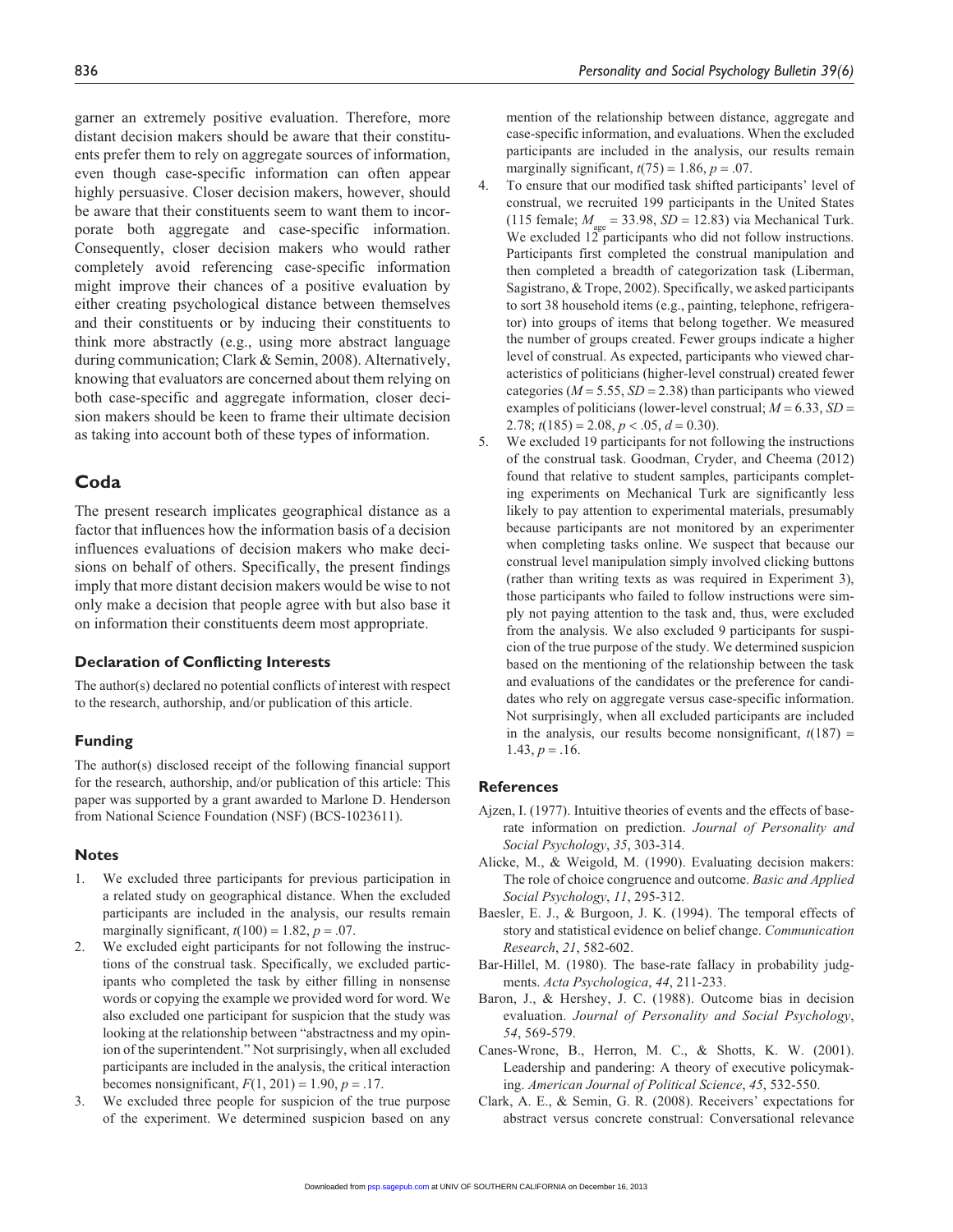garner an extremely positive evaluation. Therefore, more distant decision makers should be aware that their constituents prefer them to rely on aggregate sources of information, even though case-specific information can often appear highly persuasive. Closer decision makers, however, should be aware that their constituents seem to want them to incorporate both aggregate and case-specific information. Consequently, closer decision makers who would rather completely avoid referencing case-specific information might improve their chances of a positive evaluation by either creating psychological distance between themselves and their constituents or by inducing their constituents to think more abstractly (e.g., using more abstract language during communication; Clark & Semin, 2008). Alternatively, knowing that evaluators are concerned about them relying on both case-specific and aggregate information, closer decision makers should be keen to frame their ultimate decision as taking into account both of these types of information.

#### **Coda**

The present research implicates geographical distance as a factor that influences how the information basis of a decision influences evaluations of decision makers who make decisions on behalf of others. Specifically, the present findings imply that more distant decision makers would be wise to not only make a decision that people agree with but also base it on information their constituents deem most appropriate.

#### **Declaration of Conflicting Interests**

The author(s) declared no potential conflicts of interest with respect to the research, authorship, and/or publication of this article.

#### **Funding**

The author(s) disclosed receipt of the following financial support for the research, authorship, and/or publication of this article: This paper was supported by a grant awarded to Marlone D. Henderson from National Science Foundation (NSF) (BCS-1023611).

#### **Notes**

- 1. We excluded three participants for previous participation in a related study on geographical distance. When the excluded participants are included in the analysis, our results remain marginally significant,  $t(100) = 1.82$ ,  $p = .07$ .
- 2. We excluded eight participants for not following the instructions of the construal task. Specifically, we excluded participants who completed the task by either filling in nonsense words or copying the example we provided word for word. We also excluded one participant for suspicion that the study was looking at the relationship between "abstractness and my opinion of the superintendent." Not surprisingly, when all excluded participants are included in the analysis, the critical interaction becomes nonsignificant,  $F(1, 201) = 1.90$ ,  $p = .17$ .
- 3. We excluded three people for suspicion of the true purpose of the experiment. We determined suspicion based on any

mention of the relationship between distance, aggregate and case-specific information, and evaluations. When the excluded participants are included in the analysis, our results remain marginally significant,  $t(75) = 1.86$ ,  $p = .07$ .

- 4. To ensure that our modified task shifted participants' level of construal, we recruited 199 participants in the United States (115 female;  $M_{\text{gas}} = 33.98$ ,  $SD = 12.83$ ) via Mechanical Turk. We excluded  $12^{\circ}$  participants who did not follow instructions. Participants first completed the construal manipulation and then completed a breadth of categorization task (Liberman, Sagistrano, & Trope, 2002). Specifically, we asked participants to sort 38 household items (e.g., painting, telephone, refrigerator) into groups of items that belong together. We measured the number of groups created. Fewer groups indicate a higher level of construal. As expected, participants who viewed characteristics of politicians (higher-level construal) created fewer categories (*M* = 5.55, *SD* = 2.38) than participants who viewed examples of politicians (lower-level construal; *M* = 6.33, *SD* = 2.78;  $t(185) = 2.08$ ,  $p < .05$ ,  $d = 0.30$ ).
- 5. We excluded 19 participants for not following the instructions of the construal task. Goodman, Cryder, and Cheema (2012) found that relative to student samples, participants completing experiments on Mechanical Turk are significantly less likely to pay attention to experimental materials, presumably because participants are not monitored by an experimenter when completing tasks online. We suspect that because our construal level manipulation simply involved clicking buttons (rather than writing texts as was required in Experiment 3), those participants who failed to follow instructions were simply not paying attention to the task and, thus, were excluded from the analysis. We also excluded 9 participants for suspicion of the true purpose of the study. We determined suspicion based on the mentioning of the relationship between the task and evaluations of the candidates or the preference for candidates who rely on aggregate versus case-specific information. Not surprisingly, when all excluded participants are included in the analysis, our results become nonsignificant,  $t(187)$  =  $1.43, p = .16.$

#### **References**

- Ajzen, I. (1977). Intuitive theories of events and the effects of baserate information on prediction. *Journal of Personality and Social Psychology*, *35*, 303-314.
- Alicke, M., & Weigold, M. (1990). Evaluating decision makers: The role of choice congruence and outcome. *Basic and Applied Social Psychology*, *11*, 295-312.
- Baesler, E. J., & Burgoon, J. K. (1994). The temporal effects of story and statistical evidence on belief change. *Communication Research*, *21*, 582-602.
- Bar-Hillel, M. (1980). The base-rate fallacy in probability judgments. *Acta Psychologica*, *44*, 211-233.
- Baron, J., & Hershey, J. C. (1988). Outcome bias in decision evaluation. *Journal of Personality and Social Psychology*, *54*, 569-579.
- Canes-Wrone, B., Herron, M. C., & Shotts, K. W. (2001). Leadership and pandering: A theory of executive policymaking. *American Journal of Political Science*, *45*, 532-550.
- Clark, A. E., & Semin, G. R. (2008). Receivers' expectations for abstract versus concrete construal: Conversational relevance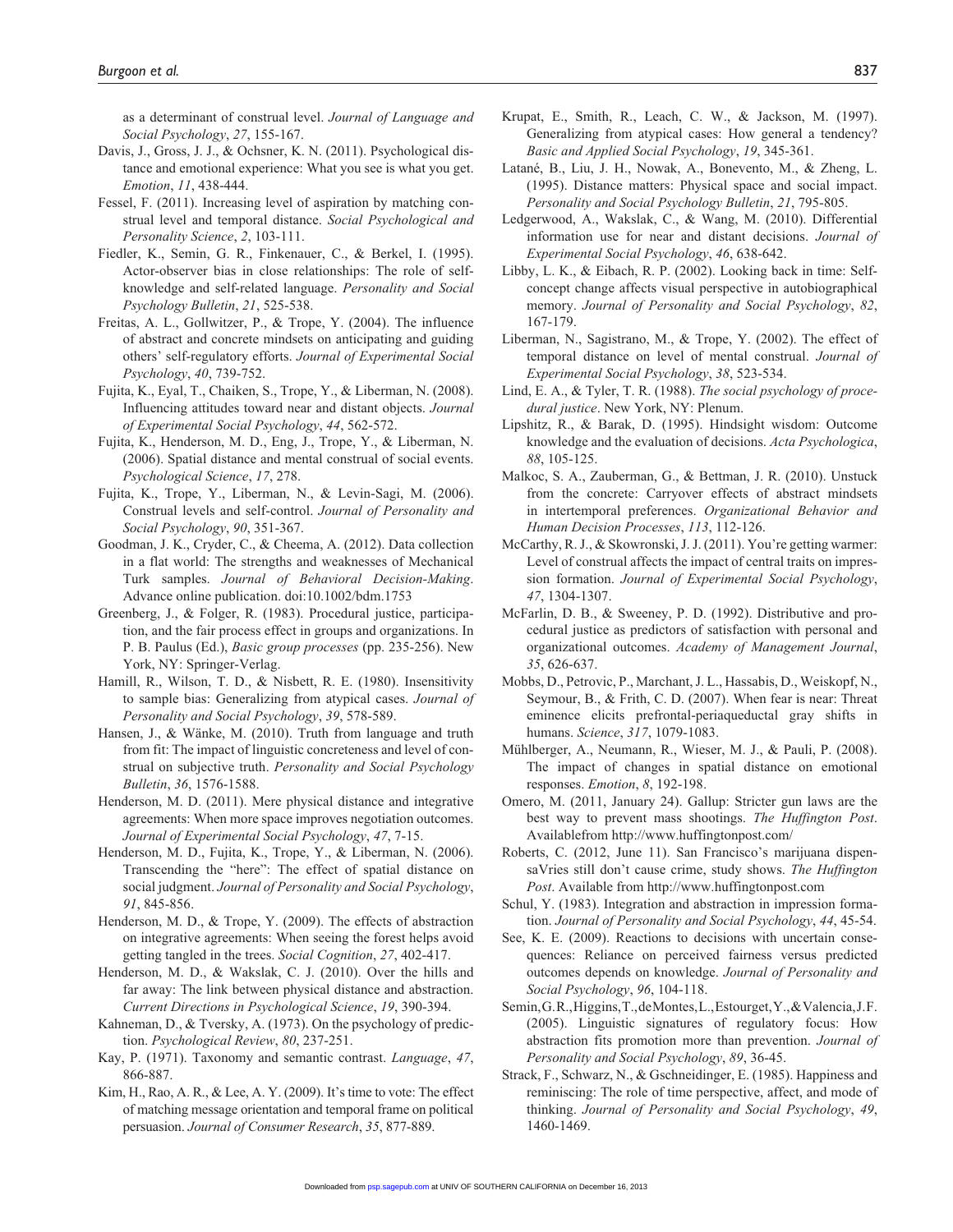as a determinant of construal level. *Journal of Language and Social Psychology*, *27*, 155-167.

- Davis, J., Gross, J. J., & Ochsner, K. N. (2011). Psychological distance and emotional experience: What you see is what you get. *Emotion*, *11*, 438-444.
- Fessel, F. (2011). Increasing level of aspiration by matching construal level and temporal distance. *Social Psychological and Personality Science*, *2*, 103-111.
- Fiedler, K., Semin, G. R., Finkenauer, C., & Berkel, I. (1995). Actor-observer bias in close relationships: The role of selfknowledge and self-related language. *Personality and Social Psychology Bulletin*, *21*, 525-538.
- Freitas, A. L., Gollwitzer, P., & Trope, Y. (2004). The influence of abstract and concrete mindsets on anticipating and guiding others' self-regulatory efforts. *Journal of Experimental Social Psychology*, *40*, 739-752.
- Fujita, K., Eyal, T., Chaiken, S., Trope, Y., & Liberman, N. (2008). Influencing attitudes toward near and distant objects. *Journal of Experimental Social Psychology*, *44*, 562-572.
- Fujita, K., Henderson, M. D., Eng, J., Trope, Y., & Liberman, N. (2006). Spatial distance and mental construal of social events. *Psychological Science*, *17*, 278.
- Fujita, K., Trope, Y., Liberman, N., & Levin-Sagi, M. (2006). Construal levels and self-control. *Journal of Personality and Social Psychology*, *90*, 351-367.
- Goodman, J. K., Cryder, C., & Cheema, A. (2012). Data collection in a flat world: The strengths and weaknesses of Mechanical Turk samples. *Journal of Behavioral Decision-Making*. Advance online publication. doi:10.1002/bdm.1753
- Greenberg, J., & Folger, R. (1983). Procedural justice, participation, and the fair process effect in groups and organizations. In P. B. Paulus (Ed.), *Basic group processes* (pp. 235-256). New York, NY: Springer-Verlag.
- Hamill, R., Wilson, T. D., & Nisbett, R. E. (1980). Insensitivity to sample bias: Generalizing from atypical cases. *Journal of Personality and Social Psychology*, *39*, 578-589.
- Hansen, J., & Wänke, M. (2010). Truth from language and truth from fit: The impact of linguistic concreteness and level of construal on subjective truth. *Personality and Social Psychology Bulletin*, *36*, 1576-1588.
- Henderson, M. D. (2011). Mere physical distance and integrative agreements: When more space improves negotiation outcomes. *Journal of Experimental Social Psychology*, *47*, 7-15.
- Henderson, M. D., Fujita, K., Trope, Y., & Liberman, N. (2006). Transcending the "here": The effect of spatial distance on social judgment. *Journal of Personality and Social Psychology*, *91*, 845-856.
- Henderson, M. D., & Trope, Y. (2009). The effects of abstraction on integrative agreements: When seeing the forest helps avoid getting tangled in the trees. *Social Cognition*, *27*, 402-417.
- Henderson, M. D., & Wakslak, C. J. (2010). Over the hills and far away: The link between physical distance and abstraction. *Current Directions in Psychological Science*, *19*, 390-394.
- Kahneman, D., & Tversky, A. (1973). On the psychology of prediction. *Psychological Review*, *80*, 237-251.
- Kay, P. (1971). Taxonomy and semantic contrast. *Language*, *47*, 866-887.
- Kim, H., Rao, A. R., & Lee, A. Y. (2009). It's time to vote: The effect of matching message orientation and temporal frame on political persuasion. *Journal of Consumer Research*, *35*, 877-889.
- Krupat, E., Smith, R., Leach, C. W., & Jackson, M. (1997). Generalizing from atypical cases: How general a tendency? *Basic and Applied Social Psychology*, *19*, 345-361.
- Latané, B., Liu, J. H., Nowak, A., Bonevento, M., & Zheng, L. (1995). Distance matters: Physical space and social impact. *Personality and Social Psychology Bulletin*, *21*, 795-805.
- Ledgerwood, A., Wakslak, C., & Wang, M. (2010). Differential information use for near and distant decisions. *Journal of Experimental Social Psychology*, *46*, 638-642.
- Libby, L. K., & Eibach, R. P. (2002). Looking back in time: Selfconcept change affects visual perspective in autobiographical memory. *Journal of Personality and Social Psychology*, *82*, 167-179.
- Liberman, N., Sagistrano, M., & Trope, Y. (2002). The effect of temporal distance on level of mental construal. *Journal of Experimental Social Psychology*, *38*, 523-534.
- Lind, E. A., & Tyler, T. R. (1988). *The social psychology of procedural justice*. New York, NY: Plenum.
- Lipshitz, R., & Barak, D. (1995). Hindsight wisdom: Outcome knowledge and the evaluation of decisions. *Acta Psychologica*, *88*, 105-125.
- Malkoc, S. A., Zauberman, G., & Bettman, J. R. (2010). Unstuck from the concrete: Carryover effects of abstract mindsets in intertemporal preferences. *Organizational Behavior and Human Decision Processes*, *113*, 112-126.
- McCarthy, R. J., & Skowronski, J. J. (2011). You're getting warmer: Level of construal affects the impact of central traits on impression formation. *Journal of Experimental Social Psychology*, *47*, 1304-1307.
- McFarlin, D. B., & Sweeney, P. D. (1992). Distributive and procedural justice as predictors of satisfaction with personal and organizational outcomes. *Academy of Management Journal*, *35*, 626-637.
- Mobbs, D., Petrovic, P., Marchant, J. L., Hassabis, D., Weiskopf, N., Seymour, B., & Frith, C. D. (2007). When fear is near: Threat eminence elicits prefrontal-periaqueductal gray shifts in humans. *Science*, *317*, 1079-1083.
- Mühlberger, A., Neumann, R., Wieser, M. J., & Pauli, P. (2008). The impact of changes in spatial distance on emotional responses. *Emotion*, *8*, 192-198.
- Omero, M. (2011, January 24). Gallup: Stricter gun laws are the best way to prevent mass shootings. *The Huffington Post*. Availablefrom http://www.huffingtonpost.com/
- Roberts, C. (2012, June 11). San Francisco's marijuana dispensaVries still don't cause crime, study shows. *The Huffington Post*. Available from http://www.huffingtonpost.com
- Schul, Y. (1983). Integration and abstraction in impression formation. *Journal of Personality and Social Psychology*, *44*, 45-54.
- See, K. E. (2009). Reactions to decisions with uncertain consequences: Reliance on perceived fairness versus predicted outcomes depends on knowledge. *Journal of Personality and Social Psychology*, *96*, 104-118.
- Semin, G. R., Higgins, T., de Montes, L., Estourget, Y., & Valencia, J. F. (2005). Linguistic signatures of regulatory focus: How abstraction fits promotion more than prevention. *Journal of Personality and Social Psychology*, *89*, 36-45.
- Strack, F., Schwarz, N., & Gschneidinger, E. (1985). Happiness and reminiscing: The role of time perspective, affect, and mode of thinking. *Journal of Personality and Social Psychology*, *49*, [146](http://psp.sagepub.com/)0-1469.